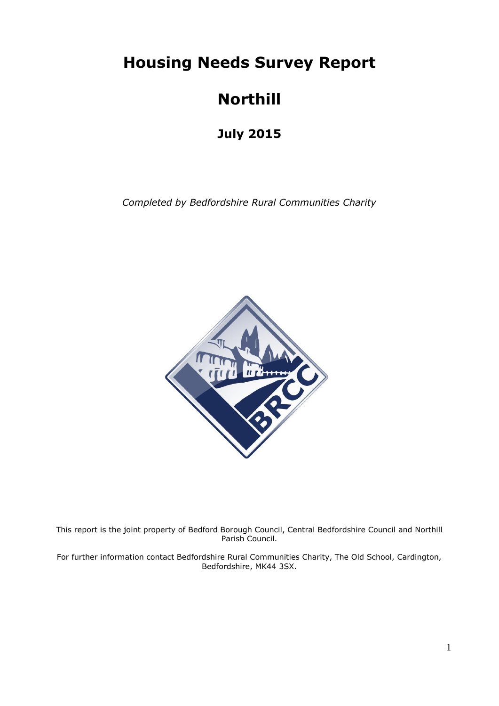**Housing Needs Survey Report**

# **Northill**

**July 2015**

*Completed by Bedfordshire Rural Communities Charity*



This report is the joint property of Bedford Borough Council, Central Bedfordshire Council and Northill Parish Council.

For further information contact Bedfordshire Rural Communities Charity, The Old School, Cardington, Bedfordshire, MK44 3SX.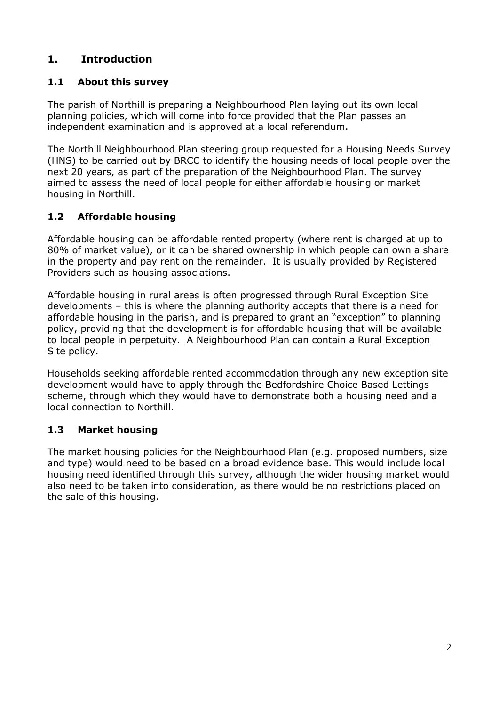# **1. Introduction**

## **1.1 About this survey**

The parish of Northill is preparing a Neighbourhood Plan laying out its own local planning policies, which will come into force provided that the Plan passes an independent examination and is approved at a local referendum.

The Northill Neighbourhood Plan steering group requested for a Housing Needs Survey (HNS) to be carried out by BRCC to identify the housing needs of local people over the next 20 years, as part of the preparation of the Neighbourhood Plan. The survey aimed to assess the need of local people for either affordable housing or market housing in Northill.

## **1.2 Affordable housing**

Affordable housing can be affordable rented property (where rent is charged at up to 80% of market value), or it can be shared ownership in which people can own a share in the property and pay rent on the remainder. It is usually provided by Registered Providers such as housing associations.

Affordable housing in rural areas is often progressed through Rural Exception Site developments – this is where the planning authority accepts that there is a need for affordable housing in the parish, and is prepared to grant an "exception" to planning policy, providing that the development is for affordable housing that will be available to local people in perpetuity. A Neighbourhood Plan can contain a Rural Exception Site policy.

Households seeking affordable rented accommodation through any new exception site development would have to apply through the Bedfordshire Choice Based Lettings scheme, through which they would have to demonstrate both a housing need and a local connection to Northill.

## **1.3 Market housing**

The market housing policies for the Neighbourhood Plan (e.g. proposed numbers, size and type) would need to be based on a broad evidence base. This would include local housing need identified through this survey, although the wider housing market would also need to be taken into consideration, as there would be no restrictions placed on the sale of this housing.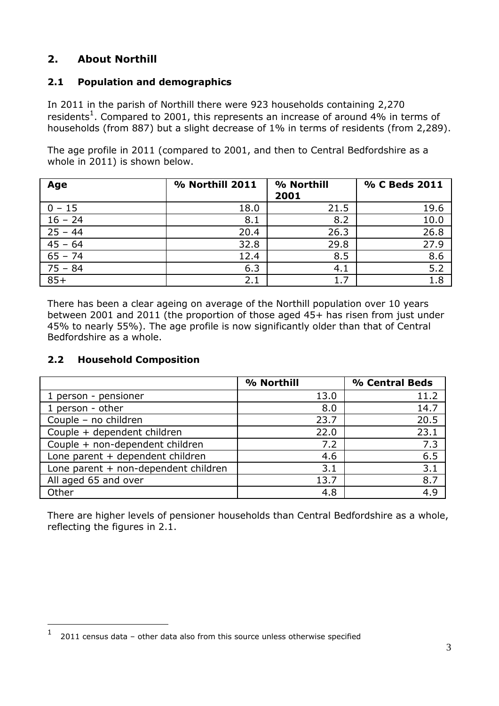# **2. About Northill**

## **2.1 Population and demographics**

In 2011 in the parish of Northill there were 923 households containing 2,270 residents<sup>1</sup>. Compared to 2001, this represents an increase of around 4% in terms of households (from 887) but a slight decrease of 1% in terms of residents (from 2,289).

The age profile in 2011 (compared to 2001, and then to Central Bedfordshire as a whole in 2011) is shown below.

| Age       | % Northill 2011 | % Northill<br>2001 | % C Beds 2011    |
|-----------|-----------------|--------------------|------------------|
| $0 - 15$  | 18.0            | 21.5               | 19.6             |
| $16 - 24$ | 8.1             | 8.2                | 10.0             |
| $25 - 44$ | 20.4            | 26.3               | 26.8             |
| $45 - 64$ | 32.8            | 29.8               | 27.9             |
| $65 - 74$ | 12.4            | 8.5                | 8.6              |
| $75 - 84$ | 6.3             | 4.1                | $5.\overline{2}$ |
| $85+$     | 2.1             | 1.7                | 1.8              |

There has been a clear ageing on average of the Northill population over 10 years between 2001 and 2011 (the proportion of those aged 45+ has risen from just under 45% to nearly 55%). The age profile is now significantly older than that of Central Bedfordshire as a whole.

## **2.2 Household Composition**

1

|                                      | % Northill | % Central Beds |
|--------------------------------------|------------|----------------|
| 1 person - pensioner                 | 13.0       | 11.2           |
| 1 person - other                     | 8.0        | 14.7           |
| Couple - no children                 | 23.7       | 20.5           |
| Couple + dependent children          | 22.0       | 23.1           |
| Couple + non-dependent children      | 7.2        | 7.3            |
| Lone parent + dependent children     | 4.6        | 6.5            |
| Lone parent + non-dependent children | 3.1        | 3.1            |
| All aged 65 and over                 | 13.7       | 8.7            |
| Other                                | 4.8        | 4.9            |

There are higher levels of pensioner households than Central Bedfordshire as a whole, reflecting the figures in 2.1.

<sup>1</sup> 2011 census data – other data also from this source unless otherwise specified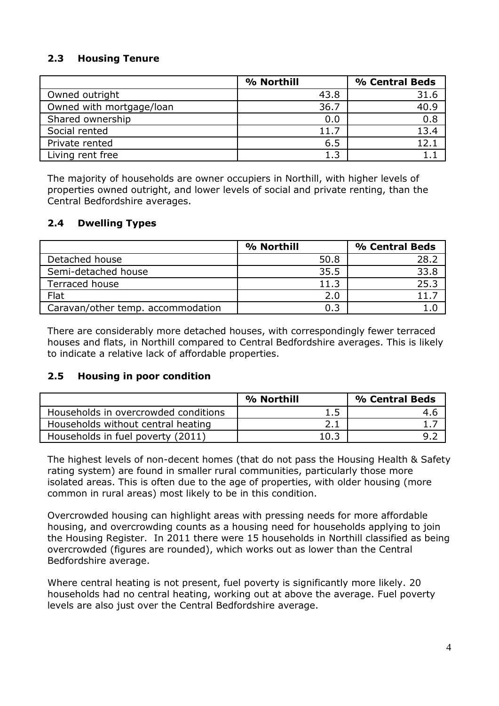## **2.3 Housing Tenure**

|                          | % Northill | % Central Beds |
|--------------------------|------------|----------------|
| Owned outright           | 43.8       | 31.6           |
| Owned with mortgage/loan | 36.7       | 40.9           |
| Shared ownership         | 0.0        | 0.8            |
| Social rented            | 11.7       | 13.4           |
| Private rented           | 6.5        | 12.1           |
| Living rent free         | 1.3        |                |

The majority of households are owner occupiers in Northill, with higher levels of properties owned outright, and lower levels of social and private renting, than the Central Bedfordshire averages.

## **2.4 Dwelling Types**

|                                   | % Northill | % Central Beds |
|-----------------------------------|------------|----------------|
| Detached house                    | 50.8       | 28.2           |
| Semi-detached house               | 35.5       | 33.8           |
| Terraced house                    | 11.3       | 25.3           |
| Flat                              | 2.0        | 11.7           |
| Caravan/other temp. accommodation | 0.3        |                |

There are considerably more detached houses, with correspondingly fewer terraced houses and flats, in Northill compared to Central Bedfordshire averages. This is likely to indicate a relative lack of affordable properties.

#### **2.5 Housing in poor condition**

|                                      | % Northill | % Central Beds |
|--------------------------------------|------------|----------------|
| Households in overcrowded conditions | 1.5        | 4.6            |
| Households without central heating   | 2.1        |                |
| Households in fuel poverty (2011)    | 10.3       |                |

The highest levels of non-decent homes (that do not pass the Housing Health & Safety rating system) are found in smaller rural communities, particularly those more isolated areas. This is often due to the age of properties, with older housing (more common in rural areas) most likely to be in this condition.

Overcrowded housing can highlight areas with pressing needs for more affordable housing, and overcrowding counts as a housing need for households applying to join the Housing Register. In 2011 there were 15 households in Northill classified as being overcrowded (figures are rounded), which works out as lower than the Central Bedfordshire average.

Where central heating is not present, fuel poverty is significantly more likely. 20 households had no central heating, working out at above the average. Fuel poverty levels are also just over the Central Bedfordshire average.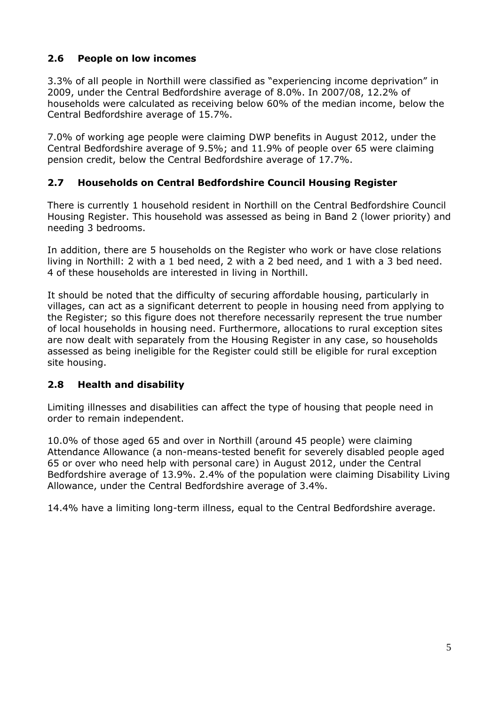## **2.6 People on low incomes**

3.3% of all people in Northill were classified as "experiencing income deprivation" in 2009, under the Central Bedfordshire average of 8.0%. In 2007/08, 12.2% of households were calculated as receiving below 60% of the median income, below the Central Bedfordshire average of 15.7%.

7.0% of working age people were claiming DWP benefits in August 2012, under the Central Bedfordshire average of 9.5%; and 11.9% of people over 65 were claiming pension credit, below the Central Bedfordshire average of 17.7%.

## **2.7 Households on Central Bedfordshire Council Housing Register**

There is currently 1 household resident in Northill on the Central Bedfordshire Council Housing Register. This household was assessed as being in Band 2 (lower priority) and needing 3 bedrooms.

In addition, there are 5 households on the Register who work or have close relations living in Northill: 2 with a 1 bed need, 2 with a 2 bed need, and 1 with a 3 bed need. 4 of these households are interested in living in Northill.

It should be noted that the difficulty of securing affordable housing, particularly in villages, can act as a significant deterrent to people in housing need from applying to the Register; so this figure does not therefore necessarily represent the true number of local households in housing need. Furthermore, allocations to rural exception sites are now dealt with separately from the Housing Register in any case, so households assessed as being ineligible for the Register could still be eligible for rural exception site housing.

## **2.8 Health and disability**

Limiting illnesses and disabilities can affect the type of housing that people need in order to remain independent.

10.0% of those aged 65 and over in Northill (around 45 people) were claiming Attendance Allowance (a non-means-tested benefit for severely disabled people aged 65 or over who need help with personal care) in August 2012, under the Central Bedfordshire average of 13.9%. 2.4% of the population were claiming Disability Living Allowance, under the Central Bedfordshire average of 3.4%.

14.4% have a limiting long-term illness, equal to the Central Bedfordshire average.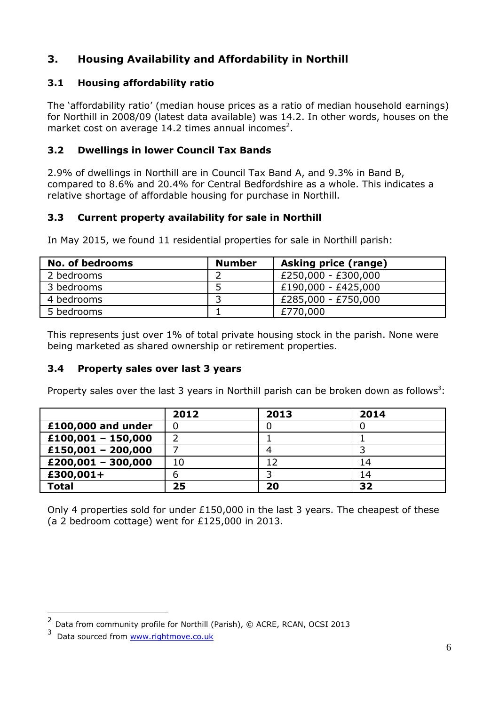# **3. Housing Availability and Affordability in Northill**

## **3.1 Housing affordability ratio**

The 'affordability ratio' (median house prices as a ratio of median household earnings) for Northill in 2008/09 (latest data available) was 14.2. In other words, houses on the market cost on average 14.2 times annual incomes<sup>2</sup>.

## **3.2 Dwellings in lower Council Tax Bands**

2.9% of dwellings in Northill are in Council Tax Band A, and 9.3% in Band B, compared to 8.6% and 20.4% for Central Bedfordshire as a whole. This indicates a relative shortage of affordable housing for purchase in Northill.

## **3.3 Current property availability for sale in Northill**

In May 2015, we found 11 residential properties for sale in Northill parish:

| <b>No. of bedrooms</b> | <b>Number</b> | <b>Asking price (range)</b> |
|------------------------|---------------|-----------------------------|
| 2 bedrooms             |               | £250,000 - £300,000         |
| 3 bedrooms             |               | £190,000 - £425,000         |
| 4 bedrooms             |               | £285,000 - £750,000         |
| 5 bedrooms             |               | £770,000                    |

This represents just over 1% of total private housing stock in the parish. None were being marketed as shared ownership or retirement properties.

## **3.4 Property sales over last 3 years**

Property sales over the last 3 years in Northill parish can be broken down as follows<sup>3</sup>:

|                      | 2012 | 2013 | 2014 |
|----------------------|------|------|------|
| £100,000 and under   | 0    |      |      |
| $£100,001 - 150,000$ |      |      |      |
| $£150,001 - 200,000$ |      |      |      |
| $£200,001 - 300,000$ | 10   |      | 14   |
| £300,001+            | ь    |      | 14   |
| <b>Total</b>         | 25   | 20   | 32   |

Only 4 properties sold for under £150,000 in the last 3 years. The cheapest of these (a 2 bedroom cottage) went for £125,000 in 2013.

1

<sup>&</sup>lt;sup>2</sup> Data from community profile for Northill (Parish), © ACRE, RCAN, OCSI 2013

<sup>&</sup>lt;sup>3</sup> Data sourced from [www.rightmove.co.uk](http://www.rightmove.co.uk/)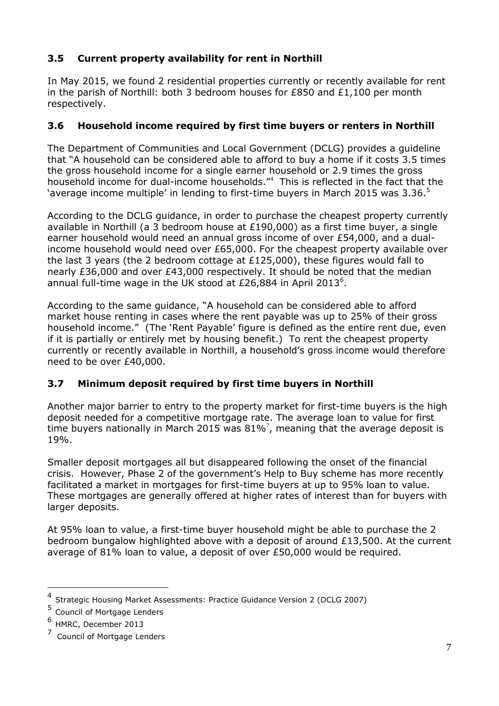# **3.5 Current property availability for rent in Northill**

In May 2015, we found 2 residential properties currently or recently available for rent in the parish of Northill: both 3 bedroom houses for £850 and  $£1,100$  per month respectively.

## **3.6 Household income required by first time buyers or renters in Northill**

The Department of Communities and Local Government (DCLG) provides a guideline that "A household can be considered able to afford to buy a home if it costs 3.5 times the gross household income for a single earner household or 2.9 times the gross household income for dual-income households."<sup>4</sup> This is reflected in the fact that the 'average income multiple' in lending to first-time buyers in March 2015 was  $3.36<sup>5</sup>$ 

According to the DCLG guidance, in order to purchase the cheapest property currently available in Northill (a 3 bedroom house at £190,000) as a first time buyer, a single earner household would need an annual gross income of over £54,000, and a dualincome household would need over £65,000. For the cheapest property available over the last 3 years (the 2 bedroom cottage at  $£125,000$ ), these figures would fall to nearly £36,000 and over £43,000 respectively. It should be noted that the median annual full-time wage in the UK stood at £26,884 in April 2013<sup>6</sup>.

According to the same guidance, "A household can be considered able to afford market house renting in cases where the rent payable was up to 25% of their gross household income." (The 'Rent Payable' figure is defined as the entire rent due, even if it is partially or entirely met by housing benefit.) To rent the cheapest property currently or recently available in Northill, a household's gross income would therefore need to be over £40,000.

# **3.7 Minimum deposit required by first time buyers in Northill**

Another major barrier to entry to the property market for first-time buyers is the high deposit needed for a competitive mortgage rate. The average loan to value for first time buyers nationally in March 2015 was  $81\%$ <sup>7</sup>, meaning that the average deposit is 19%.

Smaller deposit mortgages all but disappeared following the onset of the financial crisis. However, Phase 2 of the government's Help to Buy scheme has more recently facilitated a market in mortgages for first-time buyers at up to 95% loan to value. These mortgages are generally offered at higher rates of interest than for buyers with larger deposits.

At 95% loan to value, a first-time buyer household might be able to purchase the 2 bedroom bungalow highlighted above with a deposit of around  $£13,500$ . At the current average of 81% loan to value, a deposit of over £50,000 would be required.

1

<sup>4</sup> Strategic Housing Market Assessments: Practice Guidance Version 2 (DCLG 2007)

<sup>5</sup> Council of Mortgage Lenders

<sup>6</sup> HMRC, December 2013

<sup>&</sup>lt;sup>7</sup> Council of Mortgage Lenders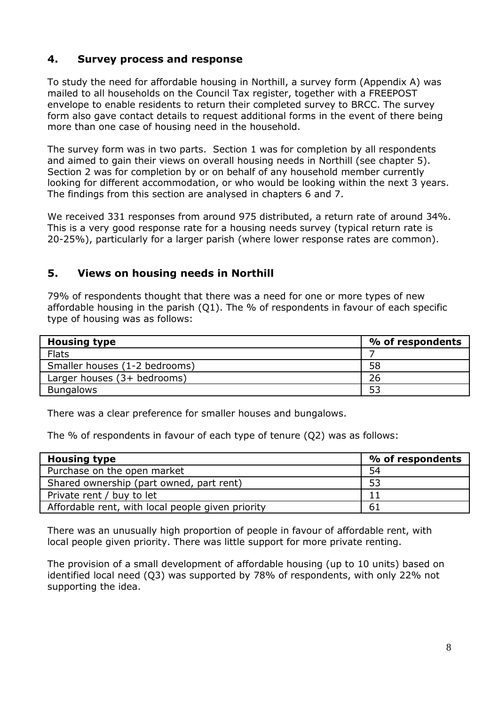# **4. Survey process and response**

To study the need for affordable housing in Northill, a survey form (Appendix A) was mailed to all households on the Council Tax register, together with a FREEPOST envelope to enable residents to return their completed survey to BRCC. The survey form also gave contact details to request additional forms in the event of there being more than one case of housing need in the household.

The survey form was in two parts. Section 1 was for completion by all respondents and aimed to gain their views on overall housing needs in Northill (see chapter 5). Section 2 was for completion by or on behalf of any household member currently looking for different accommodation, or who would be looking within the next 3 years. The findings from this section are analysed in chapters 6 and 7.

We received 331 responses from around 975 distributed, a return rate of around 34%. This is a very good response rate for a housing needs survey (typical return rate is 20-25%), particularly for a larger parish (where lower response rates are common).

# **5. Views on housing needs in Northill**

79% of respondents thought that there was a need for one or more types of new affordable housing in the parish (Q1). The % of respondents in favour of each specific type of housing was as follows:

| <b>Housing type</b>           | % of respondents |
|-------------------------------|------------------|
| <b>Flats</b>                  |                  |
| Smaller houses (1-2 bedrooms) | 58               |
| Larger houses (3+ bedrooms)   | 26               |
| <b>Bungalows</b>              | 53               |

There was a clear preference for smaller houses and bungalows.

The % of respondents in favour of each type of tenure (Q2) was as follows:

| <b>Housing type</b>                               | % of respondents |
|---------------------------------------------------|------------------|
| Purchase on the open market                       | 54               |
| Shared ownership (part owned, part rent)          | 53               |
| Private rent / buy to let                         |                  |
| Affordable rent, with local people given priority | 61               |

There was an unusually high proportion of people in favour of affordable rent, with local people given priority. There was little support for more private renting.

The provision of a small development of affordable housing (up to 10 units) based on identified local need (Q3) was supported by 78% of respondents, with only 22% not supporting the idea.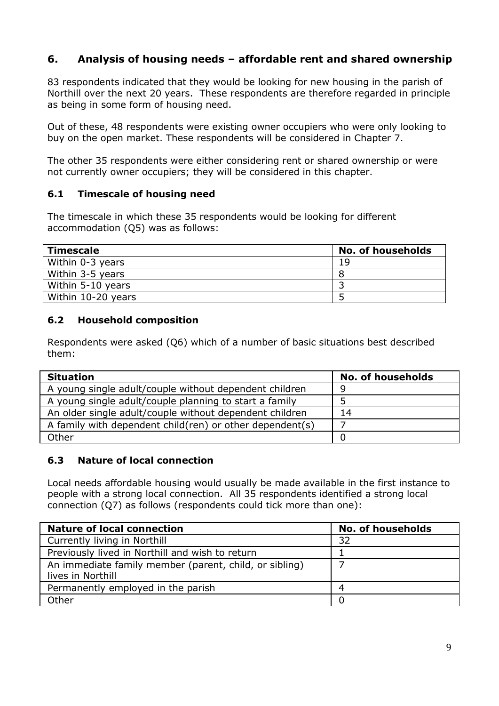# **6. Analysis of housing needs – affordable rent and shared ownership**

83 respondents indicated that they would be looking for new housing in the parish of Northill over the next 20 years. These respondents are therefore regarded in principle as being in some form of housing need.

Out of these, 48 respondents were existing owner occupiers who were only looking to buy on the open market. These respondents will be considered in Chapter 7.

The other 35 respondents were either considering rent or shared ownership or were not currently owner occupiers; they will be considered in this chapter.

#### **6.1 Timescale of housing need**

The timescale in which these 35 respondents would be looking for different accommodation (Q5) was as follows:

| Timescale          | <b>No. of households</b> |
|--------------------|--------------------------|
| Within 0-3 years   | 19                       |
| Within 3-5 years   |                          |
| Within 5-10 years  |                          |
| Within 10-20 years |                          |

#### **6.2 Household composition**

Respondents were asked (Q6) which of a number of basic situations best described them:

| <b>Situation</b>                                           | <b>No. of households</b> |
|------------------------------------------------------------|--------------------------|
| A young single adult/couple without dependent children     | Q                        |
| A young single adult/couple planning to start a family     |                          |
| An older single adult/couple without dependent children    | 14                       |
| A family with dependent child (ren) or other dependent (s) |                          |
| Other                                                      |                          |

## **6.3 Nature of local connection**

Local needs affordable housing would usually be made available in the first instance to people with a strong local connection. All 35 respondents identified a strong local connection (Q7) as follows (respondents could tick more than one):

| <b>Nature of local connection</b>                                           | <b>No. of households</b> |
|-----------------------------------------------------------------------------|--------------------------|
| Currently living in Northill                                                | 32                       |
| Previously lived in Northill and wish to return                             |                          |
| An immediate family member (parent, child, or sibling)<br>lives in Northill |                          |
| Permanently employed in the parish                                          | 4                        |
| Other                                                                       |                          |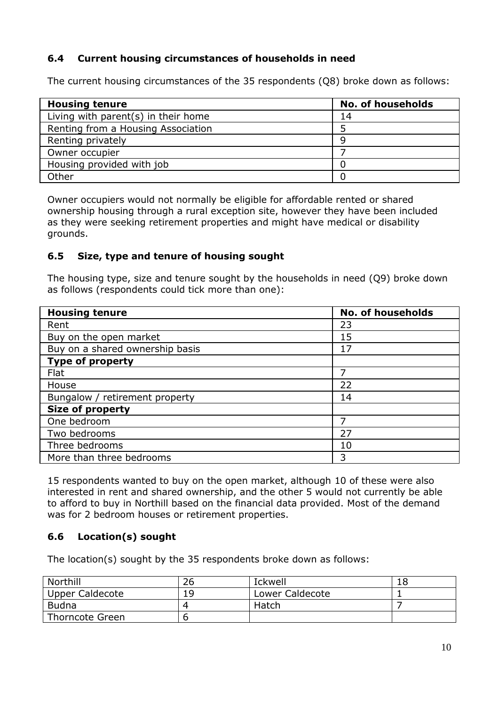## **6.4 Current housing circumstances of households in need**

The current housing circumstances of the 35 respondents (Q8) broke down as follows:

| <b>Housing tenure</b>               | <b>No. of households</b> |
|-------------------------------------|--------------------------|
| Living with parent(s) in their home | 14                       |
| Renting from a Housing Association  |                          |
| Renting privately                   | Q                        |
| Owner occupier                      |                          |
| Housing provided with job           |                          |
| Other                               |                          |

Owner occupiers would not normally be eligible for affordable rented or shared ownership housing through a rural exception site, however they have been included as they were seeking retirement properties and might have medical or disability grounds.

## **6.5 Size, type and tenure of housing sought**

The housing type, size and tenure sought by the households in need (Q9) broke down as follows (respondents could tick more than one):

| <b>Housing tenure</b>           | <b>No. of households</b> |
|---------------------------------|--------------------------|
| Rent                            | 23                       |
| Buy on the open market          | 15                       |
| Buy on a shared ownership basis | 17                       |
| <b>Type of property</b>         |                          |
| Flat                            |                          |
| House                           | 22                       |
| Bungalow / retirement property  | 14                       |
| <b>Size of property</b>         |                          |
| One bedroom                     |                          |
| Two bedrooms                    | 27                       |
| Three bedrooms                  | 10                       |
| More than three bedrooms        | 3                        |

15 respondents wanted to buy on the open market, although 10 of these were also interested in rent and shared ownership, and the other 5 would not currently be able to afford to buy in Northill based on the financial data provided. Most of the demand was for 2 bedroom houses or retirement properties.

# **6.6 Location(s) sought**

The location(s) sought by the 35 respondents broke down as follows:

| Northill               | 26 | <b>Ickwell</b>  | 18 |
|------------------------|----|-----------------|----|
| <b>Upper Caldecote</b> | 19 | Lower Caldecote |    |
| <b>Budna</b>           |    | Hatch           |    |
| Thorncote Green        |    |                 |    |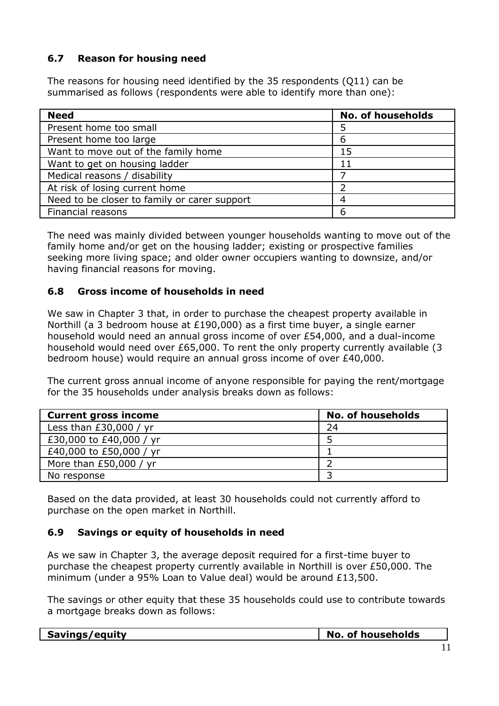## **6.7 Reason for housing need**

The reasons for housing need identified by the 35 respondents (Q11) can be summarised as follows (respondents were able to identify more than one):

| <b>Need</b>                                  | <b>No. of households</b> |
|----------------------------------------------|--------------------------|
| Present home too small                       |                          |
| Present home too large                       | 6                        |
| Want to move out of the family home          | 15                       |
| Want to get on housing ladder                |                          |
| Medical reasons / disability                 |                          |
| At risk of losing current home               |                          |
| Need to be closer to family or carer support |                          |
| Financial reasons                            | 6                        |

The need was mainly divided between younger households wanting to move out of the family home and/or get on the housing ladder; existing or prospective families seeking more living space; and older owner occupiers wanting to downsize, and/or having financial reasons for moving.

#### **6.8 Gross income of households in need**

We saw in Chapter 3 that, in order to purchase the cheapest property available in Northill (a 3 bedroom house at £190,000) as a first time buyer, a single earner household would need an annual gross income of over £54,000, and a dual-income household would need over £65,000. To rent the only property currently available (3 bedroom house) would require an annual gross income of over £40,000.

The current gross annual income of anyone responsible for paying the rent/mortgage for the 35 households under analysis breaks down as follows:

| <b>Current gross income</b> | <b>No. of households</b> |
|-----------------------------|--------------------------|
| Less than $£30,000 / yr$    | 24                       |
| £30,000 to £40,000 / yr     |                          |
| £40,000 to £50,000 / yr     |                          |
| More than $£50,000 / yr$    |                          |
| No response                 |                          |

Based on the data provided, at least 30 households could not currently afford to purchase on the open market in Northill.

#### **6.9 Savings or equity of households in need**

As we saw in Chapter 3, the average deposit required for a first-time buyer to purchase the cheapest property currently available in Northill is over £50,000. The minimum (under a 95% Loan to Value deal) would be around £13,500.

The savings or other equity that these 35 households could use to contribute towards a mortgage breaks down as follows:

| Savings/equity | No.<br>of households |
|----------------|----------------------|
|                |                      |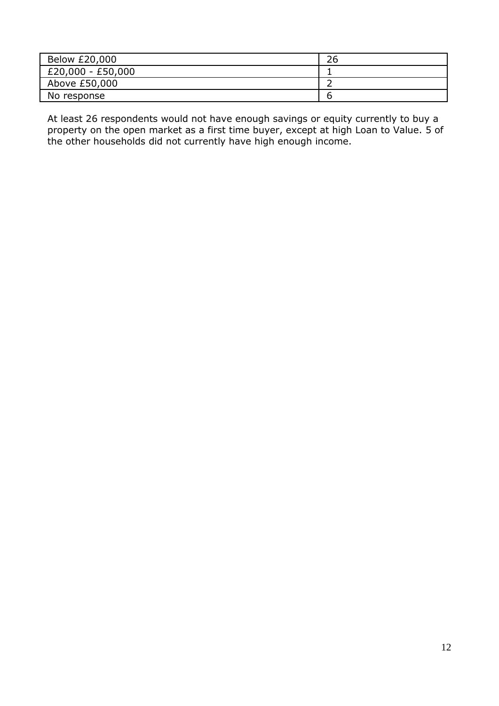| Below £20,000       | 26 |
|---------------------|----|
| $£20,000 - £50,000$ |    |
| Above £50,000       |    |
| No response         |    |

At least 26 respondents would not have enough savings or equity currently to buy a property on the open market as a first time buyer, except at high Loan to Value. 5 of the other households did not currently have high enough income.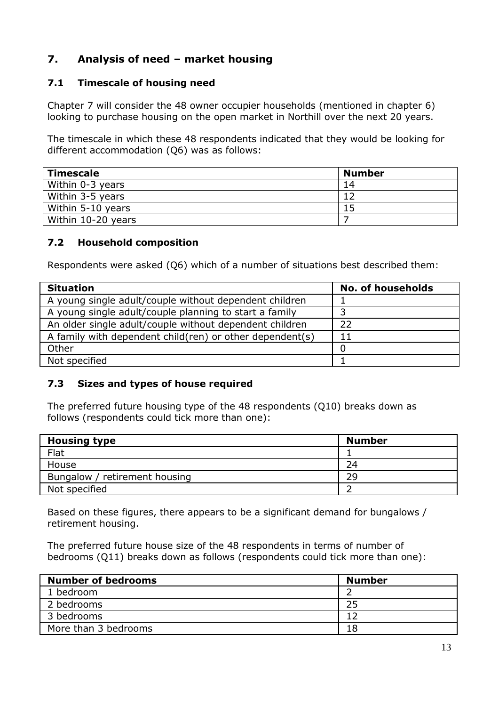# **7. Analysis of need – market housing**

## **7.1 Timescale of housing need**

Chapter 7 will consider the 48 owner occupier households (mentioned in chapter 6) looking to purchase housing on the open market in Northill over the next 20 years.

The timescale in which these 48 respondents indicated that they would be looking for different accommodation (Q6) was as follows:

| <b>Timescale</b>   | <b>Number</b> |
|--------------------|---------------|
| Within 0-3 years   | 14            |
| Within 3-5 years   |               |
| Within 5-10 years  |               |
| Within 10-20 years |               |

#### **7.2 Household composition**

Respondents were asked (Q6) which of a number of situations best described them:

| <b>Situation</b>                                         | <b>No. of households</b> |
|----------------------------------------------------------|--------------------------|
| A young single adult/couple without dependent children   |                          |
| A young single adult/couple planning to start a family   |                          |
| An older single adult/couple without dependent children  | 22                       |
| A family with dependent child(ren) or other dependent(s) | 11                       |
| Other                                                    |                          |
| Not specified                                            |                          |

## **7.3 Sizes and types of house required**

The preferred future housing type of the 48 respondents (Q10) breaks down as follows (respondents could tick more than one):

| <b>Housing type</b>           | <b>Number</b> |
|-------------------------------|---------------|
| Flat                          |               |
| House                         | 24            |
| Bungalow / retirement housing | 29            |
| Not specified                 |               |

Based on these figures, there appears to be a significant demand for bungalows / retirement housing.

The preferred future house size of the 48 respondents in terms of number of bedrooms (Q11) breaks down as follows (respondents could tick more than one):

| <b>Number of bedrooms</b> | <b>Number</b> |
|---------------------------|---------------|
| 1 bedroom                 |               |
| 2 bedrooms                | 25            |
| 3 bedrooms                |               |
| More than 3 bedrooms      | 18            |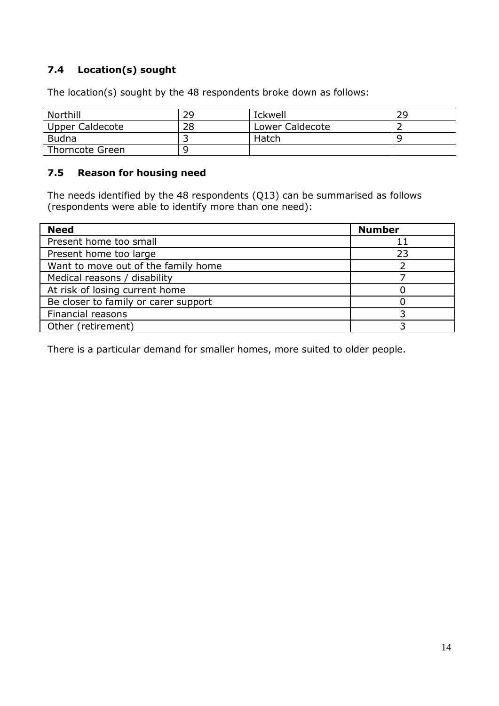# **7.4 Location(s) sought**

The location(s) sought by the 48 respondents broke down as follows:

| Northill        | 29 | <b>Ickwell</b>         | 29 |
|-----------------|----|------------------------|----|
| Upper Caldecote | 28 | <b>Lower Caldecote</b> |    |
| Budna           |    | <b>Hatch</b>           |    |
| Thorncote Green |    |                        |    |

## **7.5 Reason for housing need**

The needs identified by the 48 respondents (Q13) can be summarised as follows (respondents were able to identify more than one need):

| <b>Need</b>                          | <b>Number</b> |
|--------------------------------------|---------------|
| Present home too small               |               |
| Present home too large               | 23            |
| Want to move out of the family home  |               |
| Medical reasons / disability         |               |
| At risk of losing current home       |               |
| Be closer to family or carer support |               |
| Financial reasons                    |               |
| Other (retirement)                   |               |

There is a particular demand for smaller homes, more suited to older people.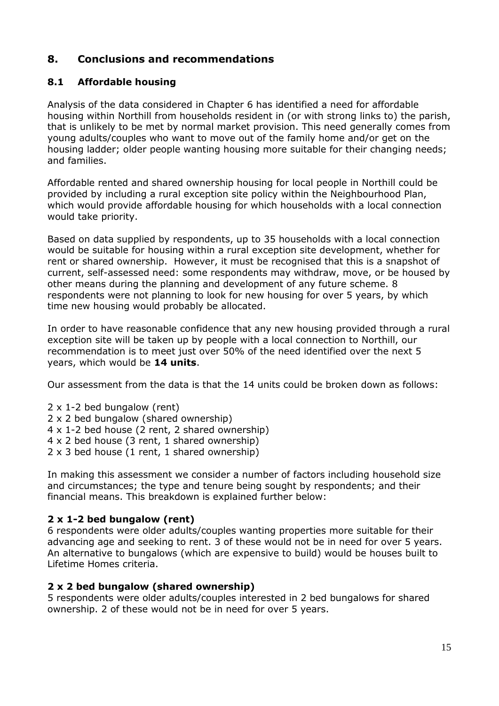# **8. Conclusions and recommendations**

## **8.1 Affordable housing**

Analysis of the data considered in Chapter 6 has identified a need for affordable housing within Northill from households resident in (or with strong links to) the parish, that is unlikely to be met by normal market provision. This need generally comes from young adults/couples who want to move out of the family home and/or get on the housing ladder; older people wanting housing more suitable for their changing needs; and families.

Affordable rented and shared ownership housing for local people in Northill could be provided by including a rural exception site policy within the Neighbourhood Plan, which would provide affordable housing for which households with a local connection would take priority.

Based on data supplied by respondents, up to 35 households with a local connection would be suitable for housing within a rural exception site development, whether for rent or shared ownership. However, it must be recognised that this is a snapshot of current, self-assessed need: some respondents may withdraw, move, or be housed by other means during the planning and development of any future scheme. 8 respondents were not planning to look for new housing for over 5 years, by which time new housing would probably be allocated.

In order to have reasonable confidence that any new housing provided through a rural exception site will be taken up by people with a local connection to Northill, our recommendation is to meet just over 50% of the need identified over the next 5 years, which would be **14 units**.

Our assessment from the data is that the 14 units could be broken down as follows:

 x 1-2 bed bungalow (rent) x 2 bed bungalow (shared ownership) x 1-2 bed house (2 rent, 2 shared ownership) x 2 bed house (3 rent, 1 shared ownership) x 3 bed house (1 rent, 1 shared ownership)

In making this assessment we consider a number of factors including household size and circumstances; the type and tenure being sought by respondents; and their financial means. This breakdown is explained further below:

## **2 x 1-2 bed bungalow (rent)**

6 respondents were older adults/couples wanting properties more suitable for their advancing age and seeking to rent. 3 of these would not be in need for over 5 years. An alternative to bungalows (which are expensive to build) would be houses built to Lifetime Homes criteria.

## **2 x 2 bed bungalow (shared ownership)**

5 respondents were older adults/couples interested in 2 bed bungalows for shared ownership. 2 of these would not be in need for over 5 years.